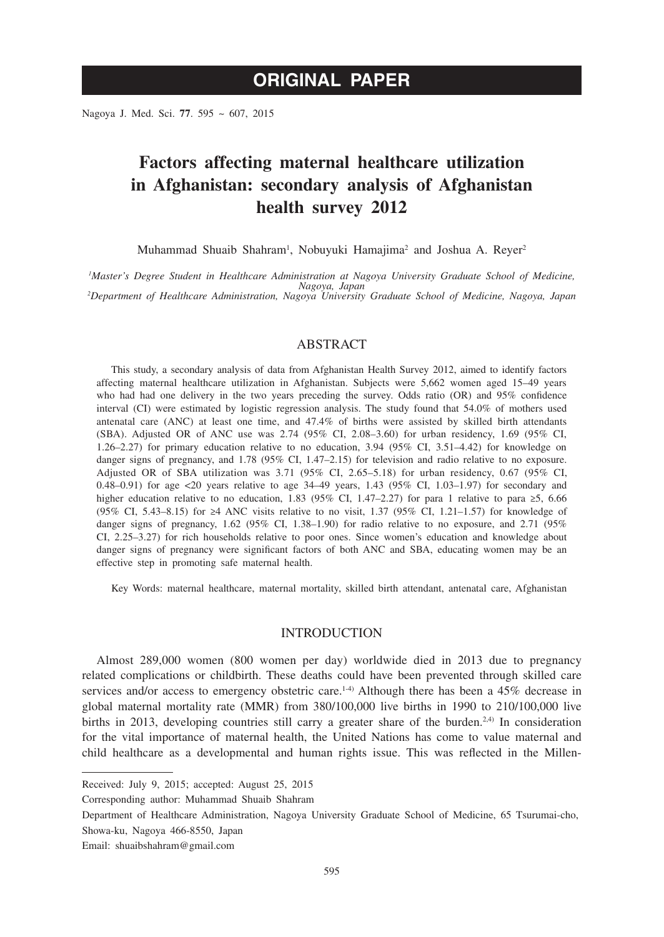Nagoya J. Med. Sci. **77**. 595 ~ 607, 2015

# **Factors affecting maternal healthcare utilization in Afghanistan: secondary analysis of Afghanistan health survey 2012**

Muhammad Shuaib Shahram<sup>1</sup>, Nobuyuki Hamajima<sup>2</sup> and Joshua A. Reyer<sup>2</sup>

*1 Master's Degree Student in Healthcare Administration at Nagoya University Graduate School of Medicine, Nagoya, Japan <sup>2</sup> Department of Healthcare Administration, Nagoya University Graduate School of Medicine, Nagoya, Japan*

## ABSTRACT

This study, a secondary analysis of data from Afghanistan Health Survey 2012, aimed to identify factors affecting maternal healthcare utilization in Afghanistan. Subjects were 5,662 women aged 15–49 years who had had one delivery in the two years preceding the survey. Odds ratio (OR) and 95% confidence interval (CI) were estimated by logistic regression analysis. The study found that 54.0% of mothers used antenatal care (ANC) at least one time, and 47.4% of births were assisted by skilled birth attendants (SBA). Adjusted OR of ANC use was  $2.74$  (95% CI, 2.08–3.60) for urban residency, 1.69 (95% CI, 1.26–2.27) for primary education relative to no education, 3.94 (95% CI, 3.51–4.42) for knowledge on danger signs of pregnancy, and 1.78 (95% CI, 1.47–2.15) for television and radio relative to no exposure. Adjusted OR of SBA utilization was 3.71 (95% CI, 2.65–5.18) for urban residency, 0.67 (95% CI, 0.48–0.91) for age <20 years relative to age 34–49 years, 1.43 (95% CI, 1.03–1.97) for secondary and higher education relative to no education, 1.83 (95% CI, 1.47–2.27) for para 1 relative to para ≥5, 6.66 (95% CI, 5.43–8.15) for ≥4 ANC visits relative to no visit, 1.37 (95% CI, 1.21–1.57) for knowledge of danger signs of pregnancy, 1.62 (95% CI, 1.38–1.90) for radio relative to no exposure, and 2.71 (95% CI, 2.25–3.27) for rich households relative to poor ones. Since women's education and knowledge about danger signs of pregnancy were significant factors of both ANC and SBA, educating women may be an effective step in promoting safe maternal health.

Key Words: maternal healthcare, maternal mortality, skilled birth attendant, antenatal care, Afghanistan

## INTRODUCTION

Almost 289,000 women (800 women per day) worldwide died in 2013 due to pregnancy related complications or childbirth. These deaths could have been prevented through skilled care services and/or access to emergency obstetric care.<sup>1-4</sup> Although there has been a 45% decrease in global maternal mortality rate (MMR) from 380/100,000 live births in 1990 to 210/100,000 live births in 2013, developing countries still carry a greater share of the burden.<sup>2,4)</sup> In consideration for the vital importance of maternal health, the United Nations has come to value maternal and child healthcare as a developmental and human rights issue. This was reflected in the Millen-

Corresponding author: Muhammad Shuaib Shahram

Received: July 9, 2015; accepted: August 25, 2015

Department of Healthcare Administration, Nagoya University Graduate School of Medicine, 65 Tsurumai-cho, Showa-ku, Nagoya 466-8550, Japan

Email: shuaibshahram@gmail.com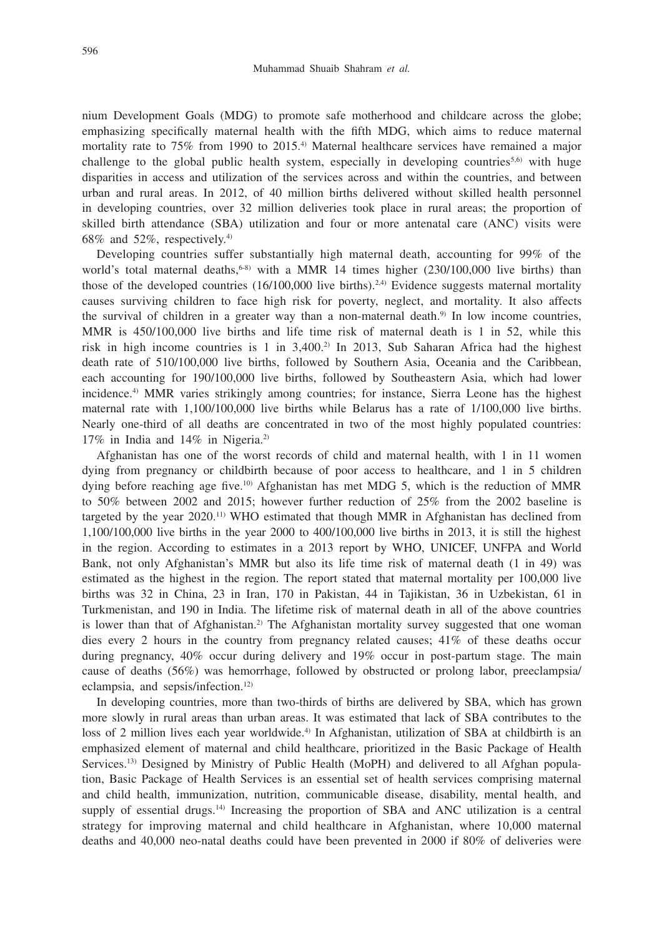nium Development Goals (MDG) to promote safe motherhood and childcare across the globe; emphasizing specifically maternal health with the fifth MDG, which aims to reduce maternal mortality rate to 75% from 1990 to 2015.4) Maternal healthcare services have remained a major challenge to the global public health system, especially in developing countries<sup>5,6)</sup> with huge disparities in access and utilization of the services across and within the countries, and between urban and rural areas. In 2012, of 40 million births delivered without skilled health personnel in developing countries, over 32 million deliveries took place in rural areas; the proportion of skilled birth attendance (SBA) utilization and four or more antenatal care (ANC) visits were 68% and 52%, respectively.4)

Developing countries suffer substantially high maternal death, accounting for 99% of the world's total maternal deaths,<sup>6-8)</sup> with a MMR 14 times higher  $(230/100,000)$  live births) than those of the developed countries  $(16/100,000)$  live births).<sup>2,4)</sup> Evidence suggests maternal mortality causes surviving children to face high risk for poverty, neglect, and mortality. It also affects the survival of children in a greater way than a non-maternal death.<sup>9)</sup> In low income countries, MMR is 450/100,000 live births and life time risk of maternal death is 1 in 52, while this risk in high income countries is 1 in 3,400.2) In 2013, Sub Saharan Africa had the highest death rate of 510/100,000 live births, followed by Southern Asia, Oceania and the Caribbean, each accounting for 190/100,000 live births, followed by Southeastern Asia, which had lower incidence.<sup>4)</sup> MMR varies strikingly among countries; for instance, Sierra Leone has the highest maternal rate with 1,100/100,000 live births while Belarus has a rate of 1/100,000 live births. Nearly one-third of all deaths are concentrated in two of the most highly populated countries: 17% in India and 14% in Nigeria.2)

Afghanistan has one of the worst records of child and maternal health, with 1 in 11 women dying from pregnancy or childbirth because of poor access to healthcare, and 1 in 5 children dying before reaching age five.10) Afghanistan has met MDG 5, which is the reduction of MMR to 50% between 2002 and 2015; however further reduction of 25% from the 2002 baseline is targeted by the year  $2020$ .<sup>11)</sup> WHO estimated that though MMR in Afghanistan has declined from 1,100/100,000 live births in the year 2000 to 400/100,000 live births in 2013, it is still the highest in the region. According to estimates in a 2013 report by WHO, UNICEF, UNFPA and World Bank, not only Afghanistan's MMR but also its life time risk of maternal death (1 in 49) was estimated as the highest in the region. The report stated that maternal mortality per 100,000 live births was 32 in China, 23 in Iran, 170 in Pakistan, 44 in Tajikistan, 36 in Uzbekistan, 61 in Turkmenistan, and 190 in India. The lifetime risk of maternal death in all of the above countries is lower than that of Afghanistan.<sup>2)</sup> The Afghanistan mortality survey suggested that one woman dies every 2 hours in the country from pregnancy related causes; 41% of these deaths occur during pregnancy, 40% occur during delivery and 19% occur in post-partum stage. The main cause of deaths (56%) was hemorrhage, followed by obstructed or prolong labor, preeclampsia/ eclampsia, and sepsis/infection.<sup>12)</sup>

In developing countries, more than two-thirds of births are delivered by SBA, which has grown more slowly in rural areas than urban areas. It was estimated that lack of SBA contributes to the loss of 2 million lives each year worldwide.<sup>4)</sup> In Afghanistan, utilization of SBA at childbirth is an emphasized element of maternal and child healthcare, prioritized in the Basic Package of Health Services.<sup>13)</sup> Designed by Ministry of Public Health (MoPH) and delivered to all Afghan population, Basic Package of Health Services is an essential set of health services comprising maternal and child health, immunization, nutrition, communicable disease, disability, mental health, and supply of essential drugs.<sup>14)</sup> Increasing the proportion of SBA and ANC utilization is a central strategy for improving maternal and child healthcare in Afghanistan, where 10,000 maternal deaths and 40,000 neo-natal deaths could have been prevented in 2000 if 80% of deliveries were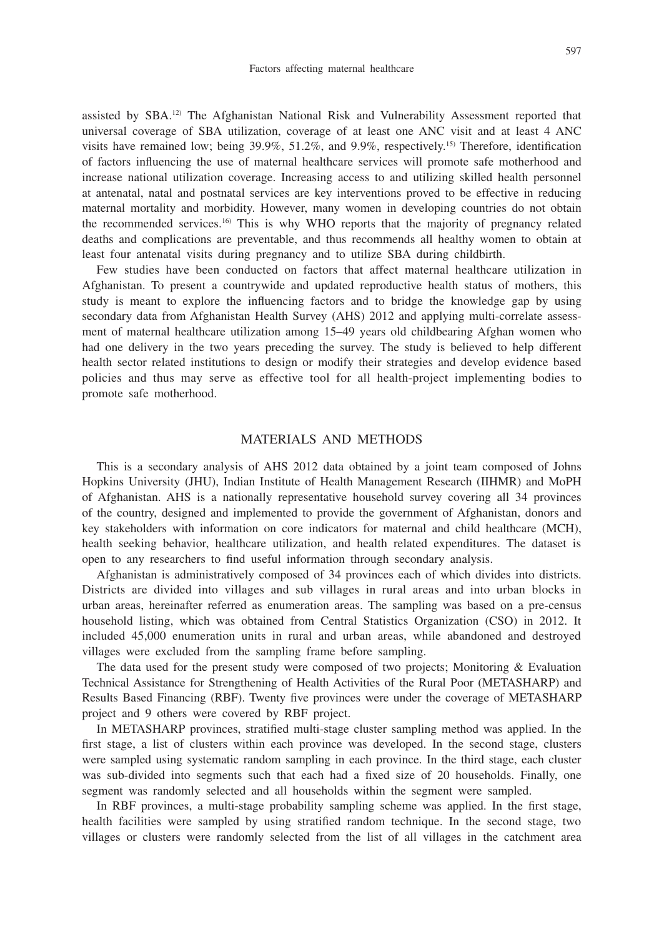assisted by SBA.12) The Afghanistan National Risk and Vulnerability Assessment reported that universal coverage of SBA utilization, coverage of at least one ANC visit and at least 4 ANC visits have remained low; being 39.9%, 51.2%, and 9.9%, respectively.15) Therefore, identification of factors influencing the use of maternal healthcare services will promote safe motherhood and increase national utilization coverage. Increasing access to and utilizing skilled health personnel at antenatal, natal and postnatal services are key interventions proved to be effective in reducing maternal mortality and morbidity. However, many women in developing countries do not obtain the recommended services.16) This is why WHO reports that the majority of pregnancy related deaths and complications are preventable, and thus recommends all healthy women to obtain at least four antenatal visits during pregnancy and to utilize SBA during childbirth.

Few studies have been conducted on factors that affect maternal healthcare utilization in Afghanistan. To present a countrywide and updated reproductive health status of mothers, this study is meant to explore the influencing factors and to bridge the knowledge gap by using secondary data from Afghanistan Health Survey (AHS) 2012 and applying multi-correlate assessment of maternal healthcare utilization among 15–49 years old childbearing Afghan women who had one delivery in the two years preceding the survey. The study is believed to help different health sector related institutions to design or modify their strategies and develop evidence based policies and thus may serve as effective tool for all health-project implementing bodies to promote safe motherhood.

#### MATERIALS AND METHODS

This is a secondary analysis of AHS 2012 data obtained by a joint team composed of Johns Hopkins University (JHU), Indian Institute of Health Management Research (IIHMR) and MoPH of Afghanistan. AHS is a nationally representative household survey covering all 34 provinces of the country, designed and implemented to provide the government of Afghanistan, donors and key stakeholders with information on core indicators for maternal and child healthcare (MCH), health seeking behavior, healthcare utilization, and health related expenditures. The dataset is open to any researchers to find useful information through secondary analysis.

Afghanistan is administratively composed of 34 provinces each of which divides into districts. Districts are divided into villages and sub villages in rural areas and into urban blocks in urban areas, hereinafter referred as enumeration areas. The sampling was based on a pre-census household listing, which was obtained from Central Statistics Organization (CSO) in 2012. It included 45,000 enumeration units in rural and urban areas, while abandoned and destroyed villages were excluded from the sampling frame before sampling.

The data used for the present study were composed of two projects; Monitoring & Evaluation Technical Assistance for Strengthening of Health Activities of the Rural Poor (METASHARP) and Results Based Financing (RBF). Twenty five provinces were under the coverage of METASHARP project and 9 others were covered by RBF project.

In METASHARP provinces, stratified multi-stage cluster sampling method was applied. In the first stage, a list of clusters within each province was developed. In the second stage, clusters were sampled using systematic random sampling in each province. In the third stage, each cluster was sub-divided into segments such that each had a fixed size of 20 households. Finally, one segment was randomly selected and all households within the segment were sampled.

In RBF provinces, a multi-stage probability sampling scheme was applied. In the first stage, health facilities were sampled by using stratified random technique. In the second stage, two villages or clusters were randomly selected from the list of all villages in the catchment area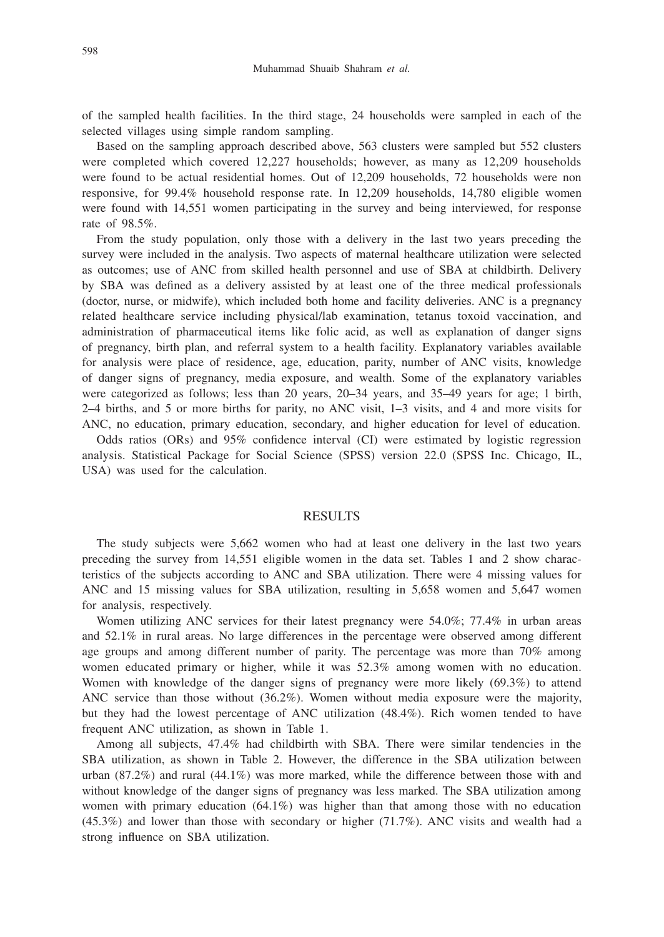of the sampled health facilities. In the third stage, 24 households were sampled in each of the selected villages using simple random sampling.

Based on the sampling approach described above, 563 clusters were sampled but 552 clusters were completed which covered 12,227 households; however, as many as 12,209 households were found to be actual residential homes. Out of 12,209 households, 72 households were non responsive, for 99.4% household response rate. In 12,209 households, 14,780 eligible women were found with 14,551 women participating in the survey and being interviewed, for response rate of 98.5%.

From the study population, only those with a delivery in the last two years preceding the survey were included in the analysis. Two aspects of maternal healthcare utilization were selected as outcomes; use of ANC from skilled health personnel and use of SBA at childbirth. Delivery by SBA was defined as a delivery assisted by at least one of the three medical professionals (doctor, nurse, or midwife), which included both home and facility deliveries. ANC is a pregnancy related healthcare service including physical/lab examination, tetanus toxoid vaccination, and administration of pharmaceutical items like folic acid, as well as explanation of danger signs of pregnancy, birth plan, and referral system to a health facility. Explanatory variables available for analysis were place of residence, age, education, parity, number of ANC visits, knowledge of danger signs of pregnancy, media exposure, and wealth. Some of the explanatory variables were categorized as follows; less than 20 years, 20–34 years, and 35–49 years for age; 1 birth, 2–4 births, and 5 or more births for parity, no ANC visit, 1–3 visits, and 4 and more visits for ANC, no education, primary education, secondary, and higher education for level of education.

Odds ratios (ORs) and 95% confidence interval (CI) were estimated by logistic regression analysis. Statistical Package for Social Science (SPSS) version 22.0 (SPSS Inc. Chicago, IL, USA) was used for the calculation.

## **RESULTS**

The study subjects were 5,662 women who had at least one delivery in the last two years preceding the survey from 14,551 eligible women in the data set. Tables 1 and 2 show characteristics of the subjects according to ANC and SBA utilization. There were 4 missing values for ANC and 15 missing values for SBA utilization, resulting in 5,658 women and 5,647 women for analysis, respectively.

Women utilizing ANC services for their latest pregnancy were 54.0%; 77.4% in urban areas and 52.1% in rural areas. No large differences in the percentage were observed among different age groups and among different number of parity. The percentage was more than 70% among women educated primary or higher, while it was 52.3% among women with no education. Women with knowledge of the danger signs of pregnancy were more likely (69.3%) to attend ANC service than those without (36.2%). Women without media exposure were the majority, but they had the lowest percentage of ANC utilization (48.4%). Rich women tended to have frequent ANC utilization, as shown in Table 1.

Among all subjects, 47.4% had childbirth with SBA. There were similar tendencies in the SBA utilization, as shown in Table 2. However, the difference in the SBA utilization between urban (87.2%) and rural (44.1%) was more marked, while the difference between those with and without knowledge of the danger signs of pregnancy was less marked. The SBA utilization among women with primary education (64.1%) was higher than that among those with no education (45.3%) and lower than those with secondary or higher (71.7%). ANC visits and wealth had a strong influence on SBA utilization.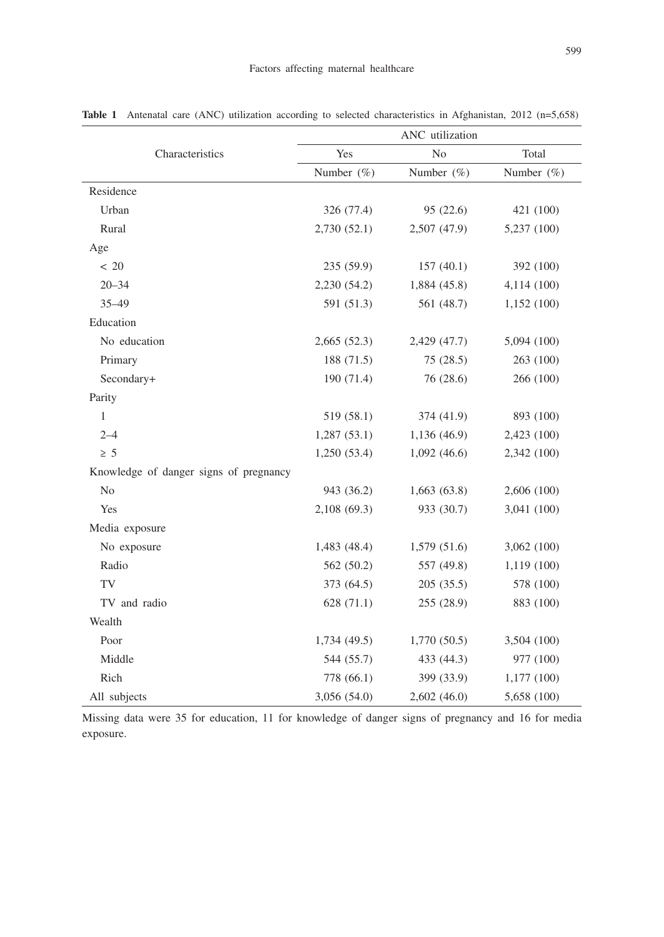|                                        | ANC utilization |                |             |  |  |  |
|----------------------------------------|-----------------|----------------|-------------|--|--|--|
| Characteristics                        | Yes             | N <sub>o</sub> | Total       |  |  |  |
|                                        | Number (%)      | Number $(\%)$  | Number (%)  |  |  |  |
| Residence                              |                 |                |             |  |  |  |
| Urban                                  | 326 (77.4)      | 95 (22.6)      | 421 (100)   |  |  |  |
| Rural                                  | 2,730 (52.1)    | 2,507 (47.9)   | 5,237 (100) |  |  |  |
| Age                                    |                 |                |             |  |  |  |
| < 20                                   | 235 (59.9)      | 157(40.1)      | 392 (100)   |  |  |  |
| $20 - 34$                              | 2,230 (54.2)    | 1,884 (45.8)   | 4,114(100)  |  |  |  |
| $35 - 49$                              | 591 (51.3)      | 561 (48.7)     | 1,152(100)  |  |  |  |
| Education                              |                 |                |             |  |  |  |
| No education                           | 2,665(52.3)     | 2,429 (47.7)   | 5,094 (100) |  |  |  |
| Primary                                | 188 (71.5)      | 75(28.5)       | 263 (100)   |  |  |  |
| Secondary+                             | 190 (71.4)      | 76 (28.6)      | 266 (100)   |  |  |  |
| Parity                                 |                 |                |             |  |  |  |
| $\mathbf{1}$                           | 519 (58.1)      | 374 (41.9)     | 893 (100)   |  |  |  |
| $2 - 4$                                | 1,287(53.1)     | 1,136(46.9)    | 2,423 (100) |  |  |  |
| $\geq 5$                               | 1,250(53.4)     | 1,092(46.6)    | 2,342 (100) |  |  |  |
| Knowledge of danger signs of pregnancy |                 |                |             |  |  |  |
| N <sub>o</sub>                         | 943 (36.2)      | 1,663(63.8)    | 2,606 (100) |  |  |  |
| Yes                                    | 2,108 (69.3)    | 933 (30.7)     | 3,041 (100) |  |  |  |
| Media exposure                         |                 |                |             |  |  |  |
| No exposure                            | 1,483 (48.4)    | 1,579 (51.6)   | 3,062(100)  |  |  |  |
| Radio                                  | 562 (50.2)      | 557 (49.8)     | 1,119 (100) |  |  |  |
| TV                                     | 373 (64.5)      | 205(35.5)      | 578 (100)   |  |  |  |
| TV and radio                           | 628 (71.1)      | 255 (28.9)     | 883 (100)   |  |  |  |
| Wealth                                 |                 |                |             |  |  |  |
| Poor                                   | 1,734(49.5)     | 1,770(50.5)    | 3,504 (100) |  |  |  |
| Middle                                 | 544 (55.7)      | 433 (44.3)     | 977 (100)   |  |  |  |
| Rich                                   | 778 (66.1)      | 399 (33.9)     | 1,177 (100) |  |  |  |
| All subjects                           | 3,056 (54.0)    | 2,602 (46.0)   | 5,658 (100) |  |  |  |

Table 1 Antenatal care (ANC) utilization according to selected characteristics in Afghanistan, 2012 (n=5,658)

Missing data were 35 for education, 11 for knowledge of danger signs of pregnancy and 16 for media exposure.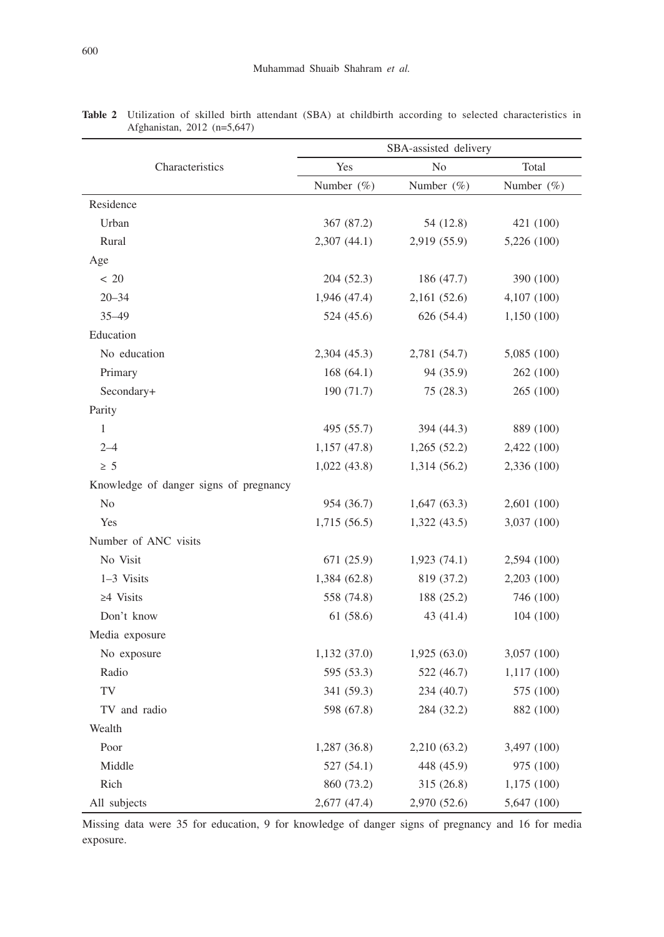|                                        | SBA-assisted delivery |               |               |  |  |  |  |
|----------------------------------------|-----------------------|---------------|---------------|--|--|--|--|
| Characteristics                        | Yes                   | No            | Total         |  |  |  |  |
|                                        | Number $(\%)$         | Number $(\%)$ | Number $(\%)$ |  |  |  |  |
| Residence                              |                       |               |               |  |  |  |  |
| Urban                                  | 367 (87.2)            | 54 (12.8)     | 421 (100)     |  |  |  |  |
| Rural                                  | 2,307 (44.1)          | 2,919 (55.9)  | 5,226 (100)   |  |  |  |  |
| Age                                    |                       |               |               |  |  |  |  |
| < 20                                   | 204 (52.3)            | 186 (47.7)    | 390 (100)     |  |  |  |  |
| $20 - 34$                              | 1,946 (47.4)          | 2,161 (52.6)  | 4,107 (100)   |  |  |  |  |
| $35 - 49$                              | 524 (45.6)            | 626 (54.4)    | 1,150 (100)   |  |  |  |  |
| Education                              |                       |               |               |  |  |  |  |
| No education                           | 2,304 (45.3)          | 2,781 (54.7)  | 5,085 (100)   |  |  |  |  |
| Primary                                | 168(64.1)             | 94 (35.9)     | 262 (100)     |  |  |  |  |
| Secondary+                             | 190 (71.7)            | 75(28.3)      | 265 (100)     |  |  |  |  |
| Parity                                 |                       |               |               |  |  |  |  |
| $\mathbf{1}$                           | 495 (55.7)            | 394 (44.3)    | 889 (100)     |  |  |  |  |
| $2 - 4$                                | 1,157(47.8)           | 1,265(52.2)   | 2,422 (100)   |  |  |  |  |
| $\geq 5$                               | 1,022(43.8)           | 1,314 (56.2)  | 2,336 (100)   |  |  |  |  |
| Knowledge of danger signs of pregnancy |                       |               |               |  |  |  |  |
| No                                     | 954 (36.7)            | 1,647(63.3)   | 2,601 (100)   |  |  |  |  |
| Yes                                    | 1,715(56.5)           | 1,322(43.5)   | 3,037 (100)   |  |  |  |  |
| Number of ANC visits                   |                       |               |               |  |  |  |  |
| No Visit                               | 671 (25.9)            | 1,923(74.1)   | 2,594 (100)   |  |  |  |  |
| 1-3 Visits                             | 1,384(62.8)           | 819 (37.2)    | 2,203(100)    |  |  |  |  |
| $\geq 4$ Visits                        | 558 (74.8)            | 188 (25.2)    | 746 (100)     |  |  |  |  |
| Don't know                             | 61(58.6)              | 43 (41.4)     | 104 (100)     |  |  |  |  |
| Media exposure                         |                       |               |               |  |  |  |  |
| No exposure                            | 1,132(37.0)           | 1,925(63.0)   | 3,057 (100)   |  |  |  |  |
| Radio                                  | 595 (53.3)            | 522 (46.7)    | 1,117(100)    |  |  |  |  |
| TV                                     | 341 (59.3)            | 234 (40.7)    | 575 (100)     |  |  |  |  |
| TV and radio                           | 598 (67.8)            | 284 (32.2)    | 882 (100)     |  |  |  |  |
| Wealth                                 |                       |               |               |  |  |  |  |
| Poor                                   | 1,287(36.8)           | 2,210 (63.2)  | 3,497 (100)   |  |  |  |  |
| Middle                                 | 527 (54.1)            | 448 (45.9)    | 975 (100)     |  |  |  |  |
| Rich                                   | 860 (73.2)            | 315 (26.8)    | 1,175 (100)   |  |  |  |  |
| All subjects                           | 2,677 (47.4)          | 2,970 (52.6)  | 5,647 (100)   |  |  |  |  |

|                             |  |  |  |  | Table 2 Utilization of skilled birth attendant (SBA) at childbirth according to selected characteristics in |  |
|-----------------------------|--|--|--|--|-------------------------------------------------------------------------------------------------------------|--|
| Afghanistan, 2012 (n=5,647) |  |  |  |  |                                                                                                             |  |

Missing data were 35 for education, 9 for knowledge of danger signs of pregnancy and 16 for media exposure.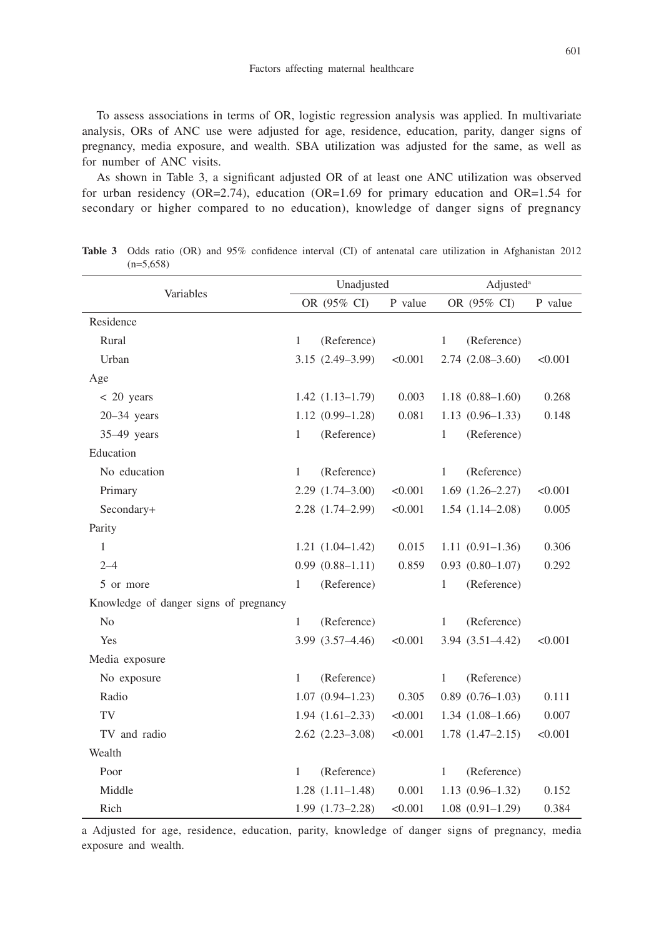To assess associations in terms of OR, logistic regression analysis was applied. In multivariate analysis, ORs of ANC use were adjusted for age, residence, education, parity, danger signs of pregnancy, media exposure, and wealth. SBA utilization was adjusted for the same, as well as for number of ANC visits.

As shown in Table 3, a significant adjusted OR of at least one ANC utilization was observed for urban residency (OR=2.74), education (OR=1.69 for primary education and OR=1.54 for secondary or higher compared to no education), knowledge of danger signs of pregnancy

| Variables                              |              | Unadjusted           |         | Adjusted <sup>a</sup>           |  |  |  |
|----------------------------------------|--------------|----------------------|---------|---------------------------------|--|--|--|
|                                        |              | OR (95% CI)          | P value | OR (95% CI)<br>P value          |  |  |  |
| Residence                              |              |                      |         |                                 |  |  |  |
| Rural                                  | 1            | (Reference)          |         | (Reference)<br>1                |  |  |  |
| Urban                                  |              | $3.15(2.49-3.99)$    | < 0.001 | $2.74(2.08-3.60)$<br>< 0.001    |  |  |  |
| Age                                    |              |                      |         |                                 |  |  |  |
| $< 20$ years                           |              | $1.42(1.13-1.79)$    | 0.003   | $1.18(0.88 - 1.60)$<br>0.268    |  |  |  |
| $20 - 34$ years                        |              | $1.12(0.99-1.28)$    | 0.081   | $1.13(0.96-1.33)$<br>0.148      |  |  |  |
| $35-49$ years                          | $\mathbf{1}$ | (Reference)          |         | (Reference)<br>$\mathbf{1}$     |  |  |  |
| Education                              |              |                      |         |                                 |  |  |  |
| No education                           | 1            | (Reference)          |         | (Reference)<br>1                |  |  |  |
| Primary                                |              | $2.29(1.74 - 3.00)$  | < 0.001 | $1.69$ $(1.26-2.27)$<br>< 0.001 |  |  |  |
| Secondary+                             |              | 2.28 (1.74-2.99)     | < 0.001 | $1.54(1.14-2.08)$<br>0.005      |  |  |  |
| Parity                                 |              |                      |         |                                 |  |  |  |
| 1                                      |              | $1.21(1.04-1.42)$    | 0.015   | 0.306<br>$1.11(0.91-1.36)$      |  |  |  |
| $2 - 4$                                |              | $0.99(0.88 - 1.11)$  | 0.859   | $0.93$ $(0.80-1.07)$<br>0.292   |  |  |  |
| 5 or more                              | 1            | (Reference)          |         | (Reference)<br>1                |  |  |  |
| Knowledge of danger signs of pregnancy |              |                      |         |                                 |  |  |  |
| N <sub>o</sub>                         | $\mathbf{1}$ | (Reference)          |         | $\mathbf{1}$<br>(Reference)     |  |  |  |
| Yes                                    |              | 3.99 (3.57-4.46)     | < 0.001 | $3.94(3.51 - 4.42)$<br>< 0.001  |  |  |  |
| Media exposure                         |              |                      |         |                                 |  |  |  |
| No exposure                            | $\mathbf{1}$ | (Reference)          |         | (Reference)<br>1                |  |  |  |
| Radio                                  |              | $1.07(0.94 - 1.23)$  | 0.305   | $0.89$ $(0.76-1.03)$<br>0.111   |  |  |  |
| TV                                     |              | $1.94(1.61-2.33)$    | < 0.001 | $1.34(1.08-1.66)$<br>0.007      |  |  |  |
| TV and radio                           |              | $2.62$ $(2.23-3.08)$ | < 0.001 | $1.78$ $(1.47-2.15)$<br>< 0.001 |  |  |  |
| Wealth                                 |              |                      |         |                                 |  |  |  |
| Poor                                   | $\mathbf{1}$ | (Reference)          |         | (Reference)<br>$\mathbf{1}$     |  |  |  |
| Middle                                 |              | $1.28(1.11-1.48)$    | 0.001   | $1.13(0.96-1.32)$<br>0.152      |  |  |  |
| Rich                                   |              | $1.99(1.73-2.28)$    | < 0.001 | $1.08(0.91-1.29)$<br>0.384      |  |  |  |

**Table 3** Odds ratio (OR) and 95% confidence interval (CI) of antenatal care utilization in Afghanistan 2012  $(n=5,658)$ 

a Adjusted for age, residence, education, parity, knowledge of danger signs of pregnancy, media exposure and wealth.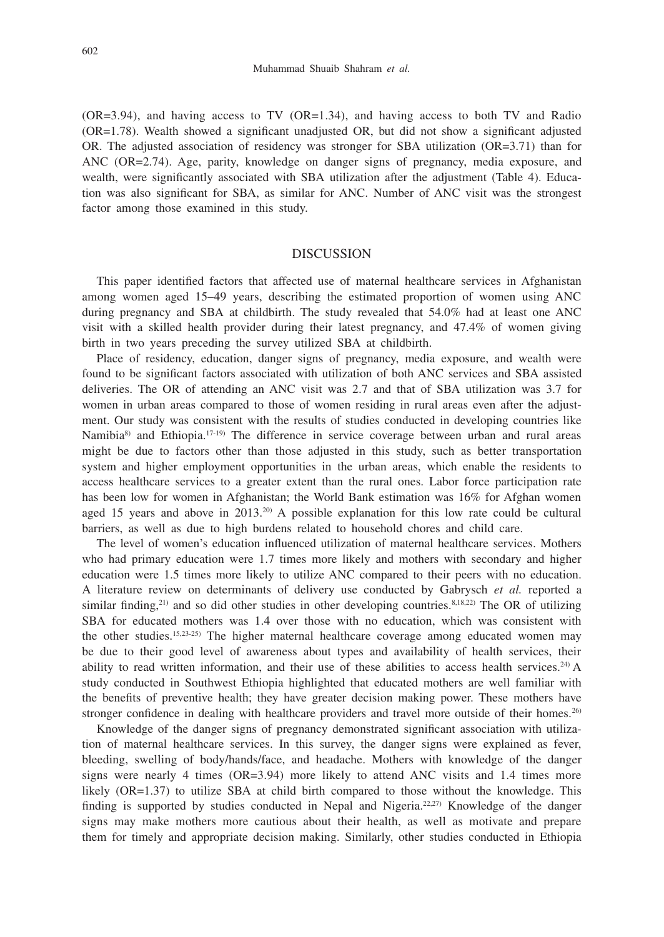(OR=3.94), and having access to TV (OR=1.34), and having access to both TV and Radio (OR=1.78). Wealth showed a significant unadjusted OR, but did not show a significant adjusted OR. The adjusted association of residency was stronger for SBA utilization  $(OR=3.71)$  than for ANC (OR=2.74). Age, parity, knowledge on danger signs of pregnancy, media exposure, and wealth, were significantly associated with SBA utilization after the adjustment (Table 4). Education was also significant for SBA, as similar for ANC. Number of ANC visit was the strongest factor among those examined in this study.

## DISCUSSION

This paper identified factors that affected use of maternal healthcare services in Afghanistan among women aged 15–49 years, describing the estimated proportion of women using ANC during pregnancy and SBA at childbirth. The study revealed that 54.0% had at least one ANC visit with a skilled health provider during their latest pregnancy, and 47.4% of women giving birth in two years preceding the survey utilized SBA at childbirth.

Place of residency, education, danger signs of pregnancy, media exposure, and wealth were found to be significant factors associated with utilization of both ANC services and SBA assisted deliveries. The OR of attending an ANC visit was 2.7 and that of SBA utilization was 3.7 for women in urban areas compared to those of women residing in rural areas even after the adjustment. Our study was consistent with the results of studies conducted in developing countries like Namibia<sup>8)</sup> and Ethiopia.<sup>17-19</sup>) The difference in service coverage between urban and rural areas might be due to factors other than those adjusted in this study, such as better transportation system and higher employment opportunities in the urban areas, which enable the residents to access healthcare services to a greater extent than the rural ones. Labor force participation rate has been low for women in Afghanistan; the World Bank estimation was 16% for Afghan women aged 15 years and above in  $2013.^{20}$  A possible explanation for this low rate could be cultural barriers, as well as due to high burdens related to household chores and child care.

The level of women's education influenced utilization of maternal healthcare services. Mothers who had primary education were 1.7 times more likely and mothers with secondary and higher education were 1.5 times more likely to utilize ANC compared to their peers with no education. A literature review on determinants of delivery use conducted by Gabrysch *et al.* reported a similar finding,<sup>21)</sup> and so did other studies in other developing countries.<sup>8,18,22)</sup> The OR of utilizing SBA for educated mothers was 1.4 over those with no education, which was consistent with the other studies.15,23-25) The higher maternal healthcare coverage among educated women may be due to their good level of awareness about types and availability of health services, their ability to read written information, and their use of these abilities to access health services.<sup>24)</sup> A study conducted in Southwest Ethiopia highlighted that educated mothers are well familiar with the benefits of preventive health; they have greater decision making power. These mothers have stronger confidence in dealing with healthcare providers and travel more outside of their homes.<sup>26)</sup>

Knowledge of the danger signs of pregnancy demonstrated significant association with utilization of maternal healthcare services. In this survey, the danger signs were explained as fever, bleeding, swelling of body/hands/face, and headache. Mothers with knowledge of the danger signs were nearly 4 times  $(OR=3.94)$  more likely to attend ANC visits and 1.4 times more likely (OR=1.37) to utilize SBA at child birth compared to those without the knowledge. This finding is supported by studies conducted in Nepal and Nigeria.<sup>22,27</sup> Knowledge of the danger signs may make mothers more cautious about their health, as well as motivate and prepare them for timely and appropriate decision making. Similarly, other studies conducted in Ethiopia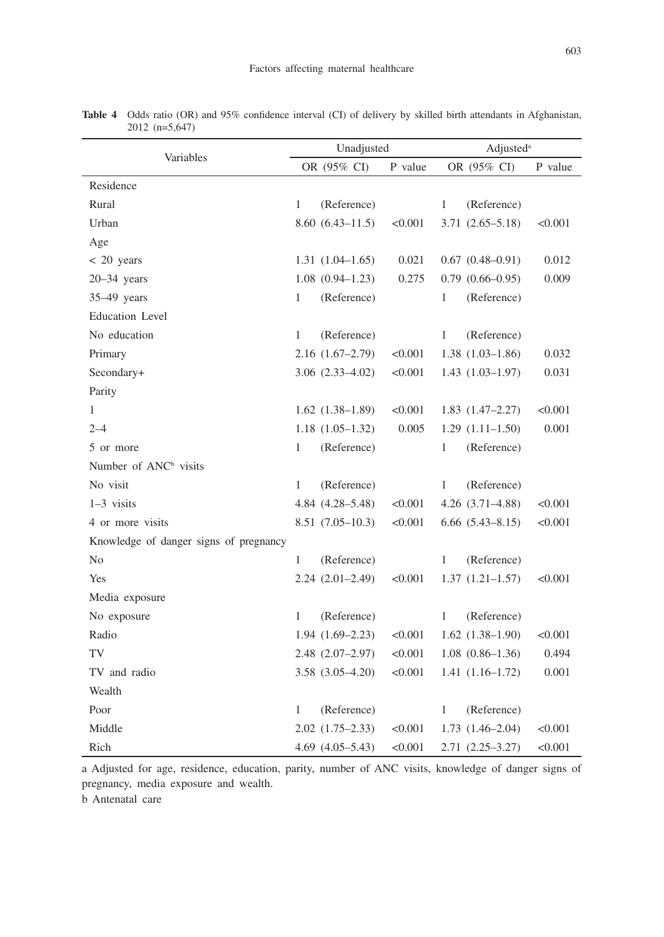| Variables                              |              | Unadjusted           |         | Adjusted <sup>a</sup> |                        |         |  |
|----------------------------------------|--------------|----------------------|---------|-----------------------|------------------------|---------|--|
|                                        |              | OR (95% CI)          | P value |                       | OR (95% CI)            | P value |  |
| Residence                              |              |                      |         |                       |                        |         |  |
| Rural                                  | $\mathbf{1}$ | (Reference)          |         | $\mathbf{1}$          | (Reference)            |         |  |
| Urban                                  |              | $8.60(6.43 - 11.5)$  | < 0.001 |                       | $3.71(2.65 - 5.18)$    | < 0.001 |  |
| Age                                    |              |                      |         |                       |                        |         |  |
| $< 20$ years                           |              | $1.31(1.04-1.65)$    | 0.021   |                       | $0.67$ $(0.48-0.91)$   | 0.012   |  |
| $20-34$ years                          |              | $1.08(0.94 - 1.23)$  | 0.275   |                       | $0.79$ $(0.66-0.95)$   | 0.009   |  |
| $35-49$ years                          | 1            | (Reference)          |         | 1                     | (Reference)            |         |  |
| Education Level                        |              |                      |         |                       |                        |         |  |
| No education                           | $\mathbf{1}$ | (Reference)          |         | $\mathbf{1}$          | (Reference)            |         |  |
| Primary                                |              | $2.16(1.67-2.79)$    | < 0.001 |                       | $1.38(1.03-1.86)$      | 0.032   |  |
| Secondary+                             |              | $3.06$ $(2.33-4.02)$ | < 0.001 |                       | $1.43(1.03-1.97)$      | 0.031   |  |
| Parity                                 |              |                      |         |                       |                        |         |  |
| $\mathbf{1}$                           |              | $1.62$ $(1.38-1.89)$ | < 0.001 |                       | $1.83(1.47-2.27)$      | < 0.001 |  |
| $2 - 4$                                |              | $1.18(1.05-1.32)$    | 0.005   |                       | $1.29(1.11-1.50)$      | 0.001   |  |
| 5 or more                              | 1            | (Reference)          |         | 1                     | (Reference)            |         |  |
| Number of ANC <sup>b</sup> visits      |              |                      |         |                       |                        |         |  |
| No visit                               | $\mathbf{1}$ | (Reference)          |         | $\mathbf{1}$          | (Reference)            |         |  |
| $1-3$ visits                           |              | 4.84 (4.28-5.48)     | < 0.001 |                       | $4.26$ $(3.71-4.88)$   | < 0.001 |  |
| 4 or more visits                       |              | 8.51 (7.05-10.3)     | < 0.001 |                       | $6.66$ $(5.43 - 8.15)$ | < 0.001 |  |
| Knowledge of danger signs of pregnancy |              |                      |         |                       |                        |         |  |
| No                                     | $\mathbf{1}$ | (Reference)          |         | 1                     | (Reference)            |         |  |
| Yes                                    |              | $2.24(2.01-2.49)$    | < 0.001 |                       | $1.37(1.21-1.57)$      | < 0.001 |  |
| Media exposure                         |              |                      |         |                       |                        |         |  |
| No exposure                            | 1            | (Reference)          |         | 1                     | (Reference)            |         |  |
| Radio                                  |              | $1.94(1.69-2.23)$    | < 0.001 |                       | $1.62$ $(1.38-1.90)$   | < 0.001 |  |
| TV                                     |              | $2.48$ $(2.07-2.97)$ | < 0.001 |                       | $1.08(0.86-1.36)$      | 0.494   |  |
| TV and radio                           |              | $3.58$ $(3.05-4.20)$ | < 0.001 |                       | $1.41(1.16-1.72)$      | 0.001   |  |
| Wealth                                 |              |                      |         |                       |                        |         |  |
| Poor                                   | $\mathbf{1}$ | (Reference)          |         | $\mathbf{1}$          | (Reference)            |         |  |
| Middle                                 |              | $2.02(1.75-2.33)$    | < 0.001 |                       | $1.73(1.46-2.04)$      | < 0.001 |  |
| Rich                                   |              | $4.69$ $(4.05-5.43)$ | < 0.001 |                       | $2.71(2.25 - 3.27)$    | < 0.001 |  |

**Table 4** Odds ratio (OR) and 95% confidence interval (CI) of delivery by skilled birth attendants in Afghanistan, 2012 (n=5,647)

a Adjusted for age, residence, education, parity, number of ANC visits, knowledge of danger signs of pregnancy, media exposure and wealth.

b Antenatal care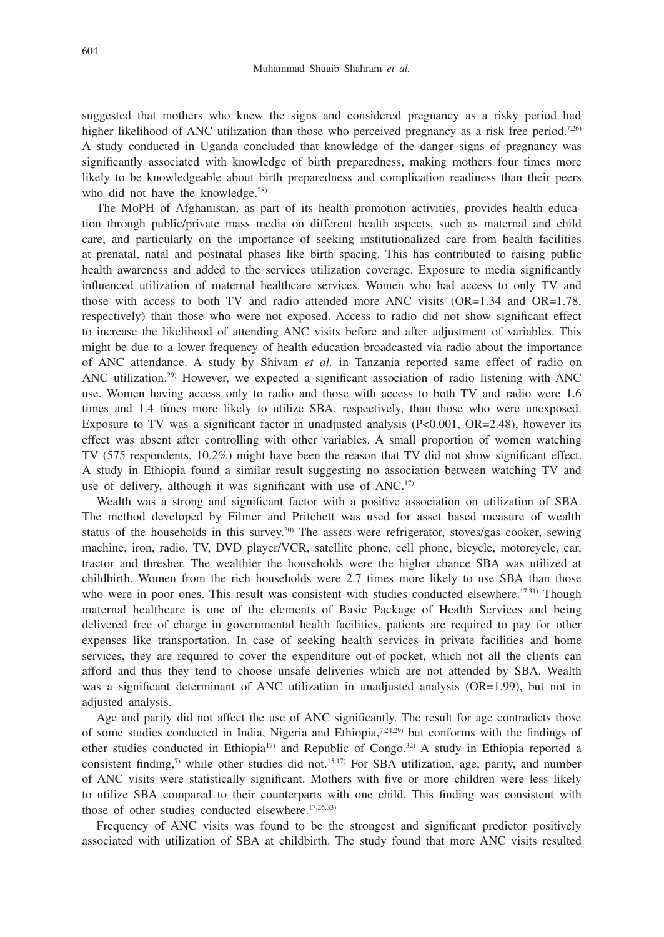suggested that mothers who knew the signs and considered pregnancy as a risky period had higher likelihood of ANC utilization than those who perceived pregnancy as a risk free period.<sup>7,26)</sup> A study conducted in Uganda concluded that knowledge of the danger signs of pregnancy was significantly associated with knowledge of birth preparedness, making mothers four times more likely to be knowledgeable about birth preparedness and complication readiness than their peers who did not have the knowledge.<sup>28)</sup>

The MoPH of Afghanistan, as part of its health promotion activities, provides health education through public/private mass media on different health aspects, such as maternal and child care, and particularly on the importance of seeking institutionalized care from health facilities at prenatal, natal and postnatal phases like birth spacing. This has contributed to raising public health awareness and added to the services utilization coverage. Exposure to media significantly influenced utilization of maternal healthcare services. Women who had access to only TV and those with access to both TV and radio attended more ANC visits (OR=1.34 and OR=1.78, respectively) than those who were not exposed. Access to radio did not show significant effect to increase the likelihood of attending ANC visits before and after adjustment of variables. This might be due to a lower frequency of health education broadcasted via radio about the importance of ANC attendance. A study by Shivam *et al.* in Tanzania reported same effect of radio on ANC utilization.29) However, we expected a significant association of radio listening with ANC use. Women having access only to radio and those with access to both TV and radio were 1.6 times and 1.4 times more likely to utilize SBA, respectively, than those who were unexposed. Exposure to TV was a significant factor in unadjusted analysis (P<0.001, OR=2.48), however its effect was absent after controlling with other variables. A small proportion of women watching TV (575 respondents, 10.2%) might have been the reason that TV did not show significant effect. A study in Ethiopia found a similar result suggesting no association between watching TV and use of delivery, although it was significant with use of ANC.<sup>17)</sup>

Wealth was a strong and significant factor with a positive association on utilization of SBA. The method developed by Filmer and Pritchett was used for asset based measure of wealth status of the households in this survey.<sup>30)</sup> The assets were refrigerator, stoves/gas cooker, sewing machine, iron, radio, TV, DVD player/VCR, satellite phone, cell phone, bicycle, motorcycle, car, tractor and thresher. The wealthier the households were the higher chance SBA was utilized at childbirth. Women from the rich households were 2.7 times more likely to use SBA than those who were in poor ones. This result was consistent with studies conducted elsewhere.<sup>17,31)</sup> Though maternal healthcare is one of the elements of Basic Package of Health Services and being delivered free of charge in governmental health facilities, patients are required to pay for other expenses like transportation. In case of seeking health services in private facilities and home services, they are required to cover the expenditure out-of-pocket, which not all the clients can afford and thus they tend to choose unsafe deliveries which are not attended by SBA. Wealth was a significant determinant of ANC utilization in unadjusted analysis (OR=1.99), but not in adjusted analysis.

Age and parity did not affect the use of ANC significantly. The result for age contradicts those of some studies conducted in India, Nigeria and Ethiopia, $7,24,29$ ) but conforms with the findings of other studies conducted in Ethiopia<sup>17)</sup> and Republic of Congo.<sup>32)</sup> A study in Ethiopia reported a consistent finding,<sup>7)</sup> while other studies did not.<sup>15,17)</sup> For SBA utilization, age, parity, and number of ANC visits were statistically significant. Mothers with five or more children were less likely to utilize SBA compared to their counterparts with one child. This finding was consistent with those of other studies conducted elsewhere.<sup>17,26,33)</sup>

Frequency of ANC visits was found to be the strongest and significant predictor positively associated with utilization of SBA at childbirth. The study found that more ANC visits resulted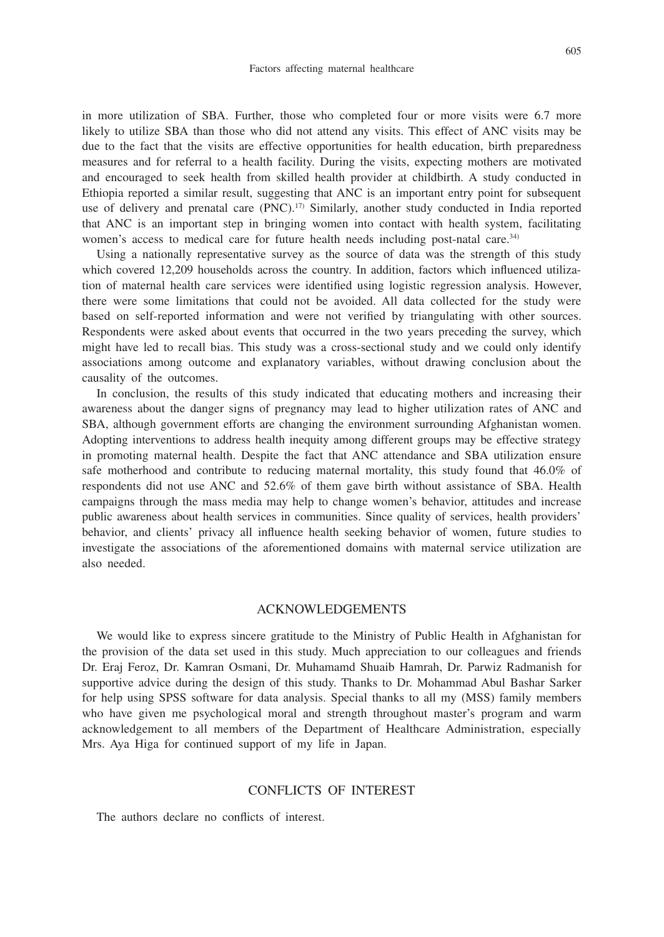in more utilization of SBA. Further, those who completed four or more visits were 6.7 more likely to utilize SBA than those who did not attend any visits. This effect of ANC visits may be due to the fact that the visits are effective opportunities for health education, birth preparedness measures and for referral to a health facility. During the visits, expecting mothers are motivated and encouraged to seek health from skilled health provider at childbirth. A study conducted in Ethiopia reported a similar result, suggesting that ANC is an important entry point for subsequent use of delivery and prenatal care (PNC).<sup>17)</sup> Similarly, another study conducted in India reported

women's access to medical care for future health needs including post-natal care.<sup>34)</sup> Using a nationally representative survey as the source of data was the strength of this study which covered 12,209 households across the country. In addition, factors which influenced utilization of maternal health care services were identified using logistic regression analysis. However, there were some limitations that could not be avoided. All data collected for the study were based on self-reported information and were not verified by triangulating with other sources. Respondents were asked about events that occurred in the two years preceding the survey, which might have led to recall bias. This study was a cross-sectional study and we could only identify associations among outcome and explanatory variables, without drawing conclusion about the causality of the outcomes.

that ANC is an important step in bringing women into contact with health system, facilitating

In conclusion, the results of this study indicated that educating mothers and increasing their awareness about the danger signs of pregnancy may lead to higher utilization rates of ANC and SBA, although government efforts are changing the environment surrounding Afghanistan women. Adopting interventions to address health inequity among different groups may be effective strategy in promoting maternal health. Despite the fact that ANC attendance and SBA utilization ensure safe motherhood and contribute to reducing maternal mortality, this study found that 46.0% of respondents did not use ANC and 52.6% of them gave birth without assistance of SBA. Health campaigns through the mass media may help to change women's behavior, attitudes and increase public awareness about health services in communities. Since quality of services, health providers' behavior, and clients' privacy all influence health seeking behavior of women, future studies to investigate the associations of the aforementioned domains with maternal service utilization are also needed.

#### ACKNOWLEDGEMENTS

We would like to express sincere gratitude to the Ministry of Public Health in Afghanistan for the provision of the data set used in this study. Much appreciation to our colleagues and friends Dr. Eraj Feroz, Dr. Kamran Osmani, Dr. Muhamamd Shuaib Hamrah, Dr. Parwiz Radmanish for supportive advice during the design of this study. Thanks to Dr. Mohammad Abul Bashar Sarker for help using SPSS software for data analysis. Special thanks to all my (MSS) family members who have given me psychological moral and strength throughout master's program and warm acknowledgement to all members of the Department of Healthcare Administration, especially Mrs. Aya Higa for continued support of my life in Japan.

#### CONFLICTS OF INTEREST

The authors declare no conflicts of interest.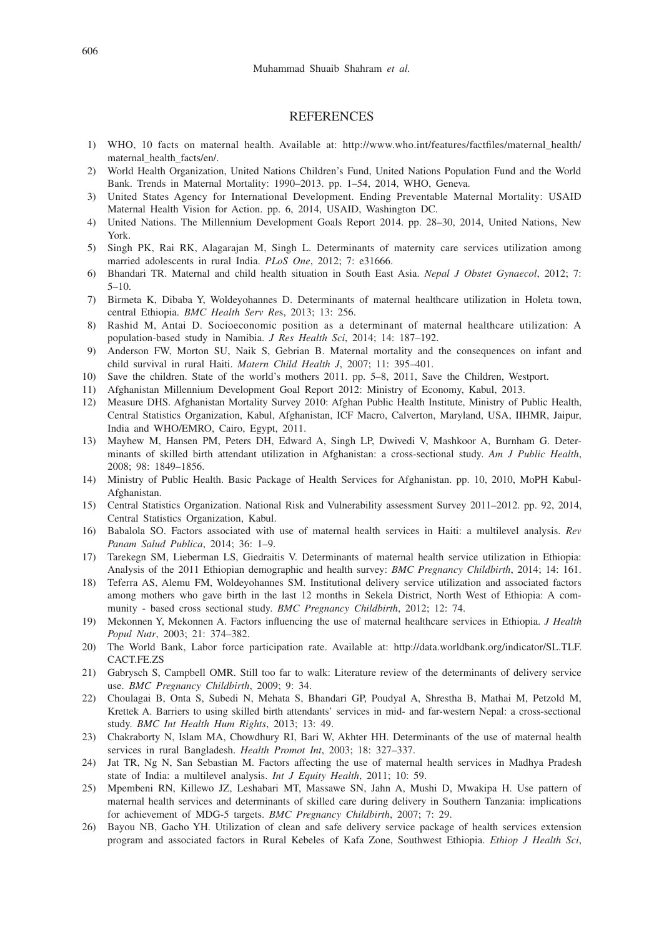#### **REFERENCES**

- 1) WHO, 10 facts on maternal health. Available at: http://www.who.int/features/factfiles/maternal\_health/ maternal\_health\_facts/en/.
- 2) World Health Organization, United Nations Children's Fund, United Nations Population Fund and the World Bank. Trends in Maternal Mortality: 1990–2013. pp. 1–54, 2014, WHO, Geneva.
- 3) United States Agency for International Development. Ending Preventable Maternal Mortality: USAID Maternal Health Vision for Action. pp. 6, 2014, USAID, Washington DC.
- 4) United Nations. The Millennium Development Goals Report 2014. pp. 28–30, 2014, United Nations, New York.
- 5) Singh PK, Rai RK, Alagarajan M, Singh L. Determinants of maternity care services utilization among married adolescents in rural India. *PLoS One*, 2012; 7: e31666.
- 6) Bhandari TR. Maternal and child health situation in South East Asia. *Nepal J Obstet Gynaecol*, 2012; 7:  $5 - 10.$
- 7) Birmeta K, Dibaba Y, Woldeyohannes D. Determinants of maternal healthcare utilization in Holeta town, central Ethiopia. *BMC Health Serv Re*s, 2013; 13: 256.
- 8) Rashid M, Antai D. Socioeconomic position as a determinant of maternal healthcare utilization: A population-based study in Namibia. *J Res Health Sci*, 2014; 14: 187–192.
- 9) Anderson FW, Morton SU, Naik S, Gebrian B. Maternal mortality and the consequences on infant and child survival in rural Haiti. *Matern Child Health J*, 2007; 11: 395–401.
- 10) Save the children. State of the world's mothers 2011. pp. 5–8, 2011, Save the Children, Westport.
- 11) Afghanistan Millennium Development Goal Report 2012: Ministry of Economy, Kabul, 2013.
- 12) Measure DHS. Afghanistan Mortality Survey 2010: Afghan Public Health Institute, Ministry of Public Health, Central Statistics Organization, Kabul, Afghanistan, ICF Macro, Calverton, Maryland, USA, IIHMR, Jaipur, India and WHO/EMRO, Cairo, Egypt, 2011.
- 13) Mayhew M, Hansen PM, Peters DH, Edward A, Singh LP, Dwivedi V, Mashkoor A, Burnham G. Determinants of skilled birth attendant utilization in Afghanistan: a cross-sectional study. *Am J Public Health*, 2008; 98: 1849–1856.
- 14) Ministry of Public Health. Basic Package of Health Services for Afghanistan. pp. 10, 2010, MoPH Kabul-Afghanistan.
- 15) Central Statistics Organization. National Risk and Vulnerability assessment Survey 2011–2012. pp. 92, 2014, Central Statistics Organization, Kabul.
- 16) Babalola SO. Factors associated with use of maternal health services in Haiti: a multilevel analysis. *Rev Panam Salud Publica*, 2014; 36: 1–9.
- 17) Tarekegn SM, Lieberman LS, Giedraitis V. Determinants of maternal health service utilization in Ethiopia: Analysis of the 2011 Ethiopian demographic and health survey: *BMC Pregnancy Childbirth*, 2014; 14: 161.
- 18) Teferra AS, Alemu FM, Woldeyohannes SM. Institutional delivery service utilization and associated factors among mothers who gave birth in the last 12 months in Sekela District, North West of Ethiopia: A community - based cross sectional study. *BMC Pregnancy Childbirth*, 2012; 12: 74.
- 19) Mekonnen Y, Mekonnen A. Factors influencing the use of maternal healthcare services in Ethiopia. *J Health Popul Nutr*, 2003; 21: 374–382.
- 20) The World Bank, Labor force participation rate. Available at: http://data.worldbank.org/indicator/SL.TLF. CACT.FE.ZS
- 21) Gabrysch S, Campbell OMR. Still too far to walk: Literature review of the determinants of delivery service use. *BMC Pregnancy Childbirth*, 2009; 9: 34.
- 22) Choulagai B, Onta S, Subedi N, Mehata S, Bhandari GP, Poudyal A, Shrestha B, Mathai M, Petzold M, Krettek A. Barriers to using skilled birth attendants' services in mid- and far-western Nepal: a cross-sectional study. *BMC Int Health Hum Rights*, 2013; 13: 49.
- 23) Chakraborty N, Islam MA, Chowdhury RI, Bari W, Akhter HH. Determinants of the use of maternal health services in rural Bangladesh. *Health Promot Int*, 2003; 18: 327–337.
- 24) Jat TR, Ng N, San Sebastian M. Factors affecting the use of maternal health services in Madhya Pradesh state of India: a multilevel analysis. *Int J Equity Health*, 2011; 10: 59.
- 25) Mpembeni RN, Killewo JZ, Leshabari MT, Massawe SN, Jahn A, Mushi D, Mwakipa H. Use pattern of maternal health services and determinants of skilled care during delivery in Southern Tanzania: implications for achievement of MDG-5 targets. *BMC Pregnancy Childbirth*, 2007; 7: 29.
- 26) Bayou NB, Gacho YH. Utilization of clean and safe delivery service package of health services extension program and associated factors in Rural Kebeles of Kafa Zone, Southwest Ethiopia. *Ethiop J Health Sci*,